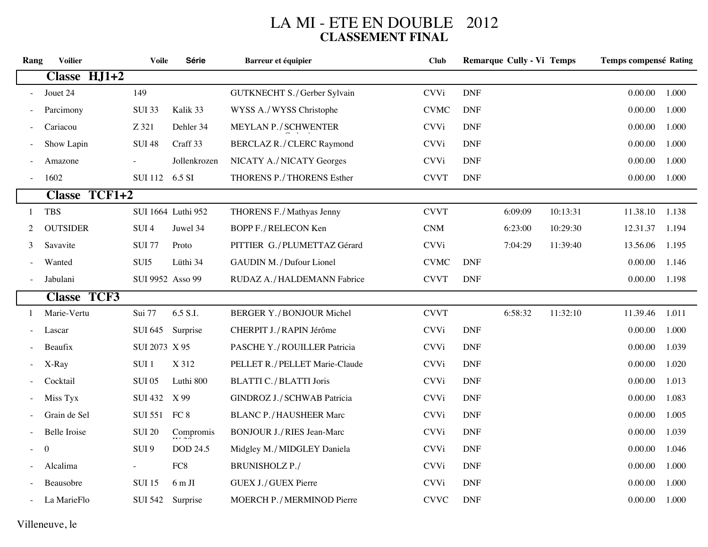## LA MI - ETE EN DOUBLE 2012<br>CLASSEMENT FINAL

| Rang | <b>Voilier</b>      |               | <b>Voile</b>     | Série              | <b>Barreur et équipier</b>       | <b>Club</b>                 |                             | <b>Remarque Cully - Vi Temps</b> |          | <b>Temps compensé Rating</b> |       |
|------|---------------------|---------------|------------------|--------------------|----------------------------------|-----------------------------|-----------------------------|----------------------------------|----------|------------------------------|-------|
|      | Classe HJ1+2        |               |                  |                    |                                  |                             |                             |                                  |          |                              |       |
|      | Jouet 24            |               | 149              |                    | GUTKNECHT S./Gerber Sylvain      | <b>CVVi</b>                 | <b>DNF</b>                  |                                  |          | 0.00.00                      | 1.000 |
|      | Parcimony           |               | <b>SUI 33</b>    | Kalik 33           | WYSS A./WYSS Christophe          | <b>CVMC</b>                 | <b>DNF</b>                  |                                  |          | 0.00.00                      | 1.000 |
|      | Cariacou            |               | Z 321            | Dehler 34          | MEYLAN P./SCHWENTER              | <b>CVVi</b>                 | <b>DNF</b>                  |                                  |          | 0.00.00                      | 1.000 |
|      | Show Lapin          |               | <b>SUI 48</b>    | Craff 33           | BERCLAZ R. / CLERC Raymond       | <b>CVVi</b>                 | <b>DNF</b>                  |                                  |          | 0.00.00                      | 1.000 |
|      | Amazone             |               |                  | Jollenkrozen       | NICATY A./NICATY Georges         | <b>CVVi</b>                 | <b>DNF</b>                  |                                  |          | 0.00.00                      | 1.000 |
|      | 1602                |               | SUI 112 6.5 SI   |                    | THORENS P./THORENS Esther        | <b>CVVT</b>                 | <b>DNF</b>                  |                                  |          | 0.00.00                      | 1.000 |
|      |                     | Classe TCF1+2 |                  |                    |                                  |                             |                             |                                  |          |                              |       |
| 1    | <b>TBS</b>          |               |                  | SUI 1664 Luthi 952 | THORENS F./Mathyas Jenny         | <b>CVVT</b>                 |                             | 6:09:09                          | 10:13:31 | 11.38.10                     | 1.138 |
| 2    | <b>OUTSIDER</b>     |               | SUI <sub>4</sub> | Juwel 34           | BOPP F./RELECON Ken              | $\mathop{\rm CNM}\nolimits$ |                             | 6:23:00                          | 10:29:30 | 12.31.37                     | 1.194 |
| 3    | Savavite            |               | <b>SUI 77</b>    | Proto              | PITTIER G./PLUMETTAZ Gérard      | <b>CVVi</b>                 |                             | 7:04:29                          | 11:39:40 | 13.56.06                     | 1.195 |
|      | Wanted              |               | SUI5             | Lüthi 34           | GAUDIN M. / Dufour Lionel        | <b>CVMC</b>                 | <b>DNF</b>                  |                                  |          | 0.00.00                      | 1.146 |
|      | Jabulani            |               | SUI 9952 Asso 99 |                    | RUDAZ A./HALDEMANN Fabrice       | <b>CVVT</b>                 | <b>DNF</b>                  |                                  |          | 0.00.00                      | 1.198 |
|      | <b>Classe TCF3</b>  |               |                  |                    |                                  |                             |                             |                                  |          |                              |       |
| 1    | Marie-Vertu         |               | Sui 77           | 6.5 S.I.           | <b>BERGER Y./BONJOUR Michel</b>  | <b>CVVT</b>                 |                             | 6:58:32                          | 11:32:10 | 11.39.46                     | 1.011 |
|      | Lascar              |               | <b>SUI 645</b>   | Surprise           | CHERPIT J./RAPIN Jérôme          | <b>CVVi</b>                 | <b>DNF</b>                  |                                  |          | 0.00.00                      | 1.000 |
|      | Beaufix             |               | SUI 2073 X 95    |                    | PASCHE Y./ROUILLER Patricia      | <b>CVVi</b>                 | <b>DNF</b>                  |                                  |          | 0.00.00                      | 1.039 |
|      | X-Ray               |               | SUI <sub>1</sub> | X 312              | PELLET R./PELLET Marie-Claude    | <b>CVVi</b>                 | <b>DNF</b>                  |                                  |          | 0.00.00                      | 1.020 |
|      | Cocktail            |               | <b>SUI 05</b>    | Luthi 800          | BLATTI C. / BLATTI Joris         | <b>CVVi</b>                 | <b>DNF</b>                  |                                  |          | 0.00.00                      | 1.013 |
|      | Miss Tyx            |               | <b>SUI 432</b>   | X 99               | GINDROZ J./SCHWAB Patricia       | <b>CVVi</b>                 | <b>DNF</b>                  |                                  |          | 0.00.00                      | 1.083 |
|      | Grain de Sel        |               | SUI 551 FC 8     |                    | <b>BLANC P./HAUSHEER Marc</b>    | <b>CVVi</b>                 | <b>DNF</b>                  |                                  |          | 0.00.00                      | 1.005 |
|      | <b>Belle</b> Iroise |               | <b>SUI 20</b>    | Compromis          | <b>BONJOUR J./RIES Jean-Marc</b> | <b>CVVi</b>                 | <b>DNF</b>                  |                                  |          | 0.00.00                      | 1.039 |
|      | $\boldsymbol{0}$    |               | SUI <sub>9</sub> | <b>DOD 24.5</b>    | Midgley M./MIDGLEY Daniela       | <b>CVVi</b>                 | <b>DNF</b>                  |                                  |          | 0.00.00                      | 1.046 |
|      | Alcalima            |               |                  | FC8                | <b>BRUNISHOLZ P./</b>            | <b>CVVi</b>                 | <b>DNF</b>                  |                                  |          | 0.00.00                      | 1.000 |
|      | Beausobre           |               | <b>SUI 15</b>    | $6m$ JI            | GUEX J./GUEX Pierre              | <b>CVVi</b>                 | $\ensuremath{\mathsf{DNF}}$ |                                  |          | 0.00.00                      | 1.000 |
|      | La MarieFlo         |               | <b>SUI 542</b>   | Surprise           | MOERCH P. / MERMINOD Pierre      | <b>CVVC</b>                 | $\ensuremath{\mathsf{DNF}}$ |                                  |          | 0.00.00                      | 1.000 |

## Villeneuve, le